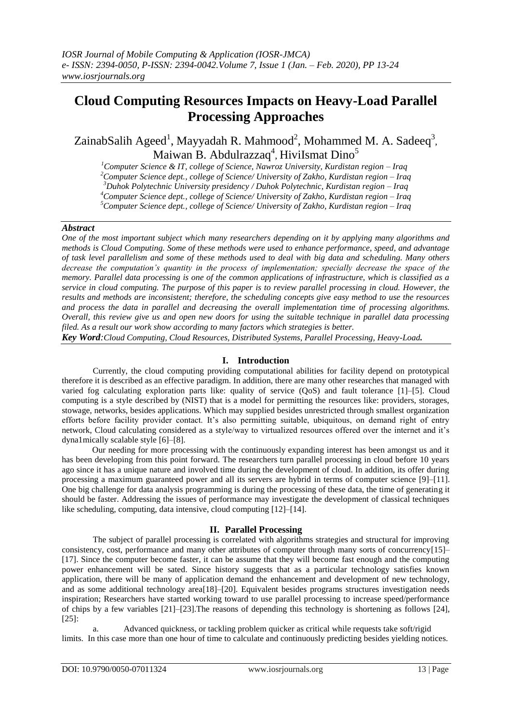# **Cloud Computing Resources Impacts on Heavy-Load Parallel Processing Approaches**

ZainabSalih Ageed<sup>1</sup>, Mayyadah R. Mahmood<sup>2</sup>, Mohammed M. A. Sadeeq<sup>3</sup>, Maiwan B. Abdulrazzaq<sup>4</sup>, HiviIsmat Dino<sup>5</sup>

*Computer Science & IT, college of Science, Nawroz University, Kurdistan region – Iraq Computer Science dept., college of Science/ University of Zakho, Kurdistan region – Iraq Duhok Polytechnic University presidency / Duhok Polytechnic, Kurdistan region – Iraq Computer Science dept., college of Science/ University of Zakho, Kurdistan region – Iraq*

*<sup>5</sup>Computer Science dept., college of Science/ University of Zakho, Kurdistan region – Iraq*

# *Abstract*

*One of the most important subject which many researchers depending on it by applying many algorithms and methods is Cloud Computing. Some of these methods were used to enhance performance, speed, and advantage of task level parallelism and some of these methods used to deal with big data and scheduling. Many others decrease the computation's quantity in the process of implementation; specially decrease the space of the memory. Parallel data processing is one of the common applications of infrastructure, which is classified as a service in cloud computing. The purpose of this paper is to review parallel processing in cloud. However, the results and methods are inconsistent; therefore, the scheduling concepts give easy method to use the resources and process the data in parallel and decreasing the overall implementation time of processing algorithms. Overall, this review give us and open new doors for using the suitable technique in parallel data processing filed. As a result our work show according to many factors which strategies is better.*

*Key Word:Cloud Computing, Cloud Resources, Distributed Systems, Parallel Processing, Heavy-Load.*

# **I. Introduction**

Currently, the cloud computing providing computational abilities for facility depend on prototypical therefore it is described as an effective paradigm. In addition, there are many other researches that managed with varied fog calculating exploration parts like: quality of service (QoS) and fault tolerance [1]–[5]. Cloud computing is a style described by (NIST) that is a model for permitting the resources like: providers, storages, stowage, networks, besides applications. Which may supplied besides unrestricted through smallest organization efforts before facility provider contact. It's also permitting suitable, ubiquitous, on demand right of entry network, Cloud calculating considered as a style/way to virtualized resources offered over the internet and it's dyna1mically scalable style [6]–[8].

Our needing for more processing with the continuously expanding interest has been amongst us and it has been developing from this point forward. The researchers turn parallel processing in cloud before 10 years ago since it has a unique nature and involved time during the development of cloud. In addition, its offer during processing a maximum guaranteed power and all its servers are hybrid in terms of computer science [9]–[11]. One big challenge for data analysis programming is during the processing of these data, the time of generating it should be faster. Addressing the issues of performance may investigate the development of classical techniques like scheduling, computing, data intensive, cloud computing [12]–[14].

# **II. Parallel Processing**

The subject of parallel processing is correlated with algorithms strategies and structural for improving consistency, cost, performance and many other attributes of computer through many sorts of concurrency[15]– [17]. Since the computer become faster, it can be assume that they will become fast enough and the computing power enhancement will be sated. Since history suggests that as a particular technology satisfies known application, there will be many of application demand the enhancement and development of new technology, and as some additional technology area[18]–[20]. Equivalent besides programs structures investigation needs inspiration; Researchers have started working toward to use parallel processing to increase speed/performance of chips by a few variables [21]–[23].The reasons of depending this technology is shortening as follows [24], [25]:

a. Advanced quickness, or tackling problem quicker as critical while requests take soft/rigid limits. In this case more than one hour of time to calculate and continuously predicting besides yielding notices.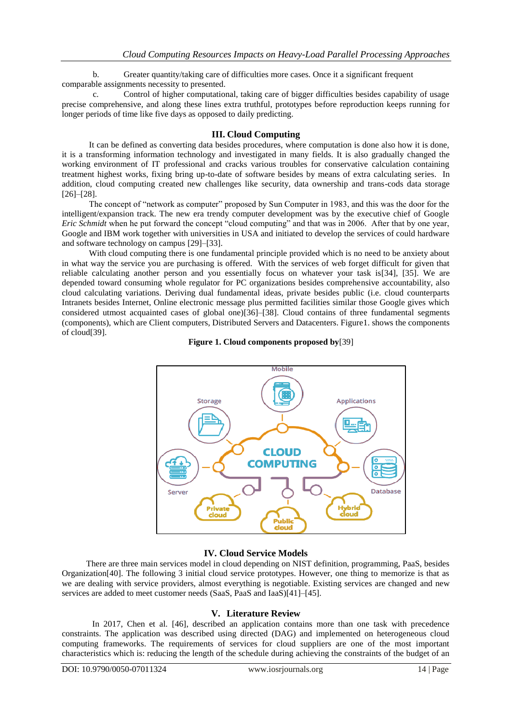b. Greater quantity/taking care of difficulties more cases. Once it a significant frequent comparable assignments necessity to presented.

c. Control of higher computational, taking care of bigger difficulties besides capability of usage precise comprehensive, and along these lines extra truthful, prototypes before reproduction keeps running for longer periods of time like five days as opposed to daily predicting.

# **III. Cloud Computing**

It can be defined as converting data besides procedures, where computation is done also how it is done, it is a transforming information technology and investigated in many fields. It is also gradually changed the working environment of IT professional and cracks various troubles for conservative calculation containing treatment highest works, fixing bring up-to-date of software besides by means of extra calculating series. In addition, cloud computing created new challenges like security, data ownership and trans-cods data storage [26]–[28].

The concept of "network as computer" proposed by Sun Computer in 1983, and this was the door for the intelligent/expansion track. The new era trendy computer development was by the executive chief of Google *Eric Schmidt* when he put forward the concept "cloud computing" and that was in 2006. After that by one year, Google and IBM work together with universities in USA and initiated to develop the services of could hardware and software technology on campus [29]–[33].

With cloud computing there is one fundamental principle provided which is no need to be anxiety about in what way the service you are purchasing is offered. With the services of web forget difficult for given that reliable calculating another person and you essentially focus on whatever your task is[34], [35]. We are depended toward consuming whole regulator for PC organizations besides comprehensive accountability, also cloud calculating variations. Deriving dual fundamental ideas, private besides public (i.e. cloud counterparts Intranets besides Internet, Online electronic message plus permitted facilities similar those Google gives which considered utmost acquainted cases of global one)[36]–[38]. Cloud contains of three fundamental segments (components), which are Client computers, Distributed Servers and Datacenters. Figure1. shows the components of cloud[39].





# **IV. Cloud Service Models**

There are three main services model in cloud depending on NIST definition, programming, PaaS, besides Organization[40]. The following 3 initial cloud service prototypes. However, one thing to memorize is that as we are dealing with service providers, almost everything is negotiable. Existing services are changed and new services are added to meet customer needs (SaaS, PaaS and IaaS)[41]–[45].

#### **V. Literature Review**

In 2017, Chen et al. [46], described an application contains more than one task with precedence constraints. The application was described using directed (DAG) and implemented on heterogeneous cloud computing frameworks. The requirements of services for cloud suppliers are one of the most important characteristics which is: reducing the length of the schedule during achieving the constraints of the budget of an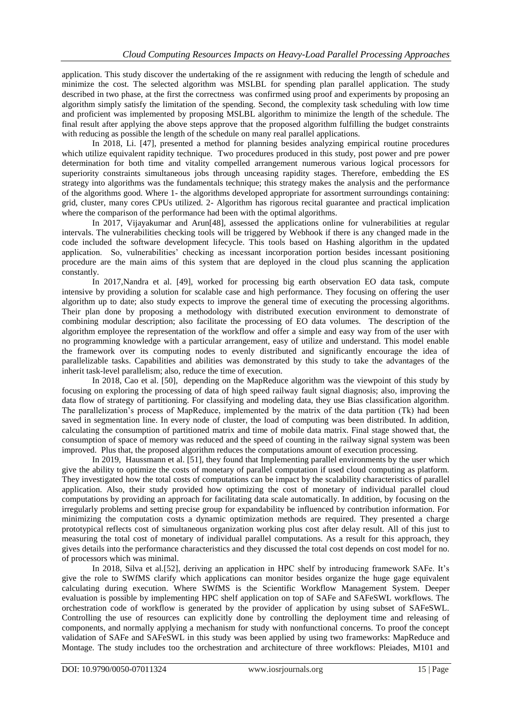application. This study discover the undertaking of the re assignment with reducing the length of schedule and minimize the cost. The selected algorithm was MSLBL for spending plan parallel application. The study described in two phase, at the first the correctness was confirmed using proof and experiments by proposing an algorithm simply satisfy the limitation of the spending. Second, the complexity task scheduling with low time and proficient was implemented by proposing MSLBL algorithm to minimize the length of the schedule. The final result after applying the above steps approve that the proposed algorithm fulfilling the budget constraints with reducing as possible the length of the schedule on many real parallel applications.

In 2018, Li. [47], presented a method for planning besides analyzing empirical routine procedures which utilize equivalent rapidity technique. Two procedures produced in this study, post power and pre power determination for both time and vitality compelled arrangement numerous various logical processors for superiority constraints simultaneous jobs through unceasing rapidity stages. Therefore, embedding the ES strategy into algorithms was the fundamentals technique; this strategy makes the analysis and the performance of the algorithms good. Where 1- the algorithms developed appropriate for assortment surroundings containing: grid, cluster, many cores CPUs utilized. 2- Algorithm has rigorous recital guarantee and practical implication where the comparison of the performance had been with the optimal algorithms.

In 2017, Vijayakumar and Arun[48], assessed the applications online for vulnerabilities at regular intervals. The vulnerabilities checking tools will be triggered by Webhook if there is any changed made in the code included the software development lifecycle. This tools based on Hashing algorithm in the updated application. So, vulnerabilities' checking as incessant incorporation portion besides incessant positioning procedure are the main aims of this system that are deployed in the cloud plus scanning the application constantly.

In 2017,Nandra et al. [49], worked for processing big earth observation EO data task, compute intensive by providing a solution for scalable case and high performance. They focusing on offering the user algorithm up to date; also study expects to improve the general time of executing the processing algorithms. Their plan done by proposing a methodology with distributed execution environment to demonstrate of combining modular description; also facilitate the processing of EO data volumes. The description of the algorithm employee the representation of the workflow and offer a simple and easy way from of the user with no programming knowledge with a particular arrangement, easy of utilize and understand. This model enable the framework over its computing nodes to evenly distributed and significantly encourage the idea of parallelizable tasks. Capabilities and abilities was demonstrated by this study to take the advantages of the inherit task-level parallelism; also, reduce the time of execution.

In 2018, Cao et al. [50], depending on the MapReduce algorithm was the viewpoint of this study by focusing on exploring the processing of data of high speed railway fault signal diagnosis; also, improving the data flow of strategy of partitioning. For classifying and modeling data, they use Bias classification algorithm. The parallelization's process of MapReduce, implemented by the matrix of the data partition (Tk) had been saved in segmentation line. In every node of cluster, the load of computing was been distributed. In addition, calculating the consumption of partitioned matrix and time of mobile data matrix. Final stage showed that, the consumption of space of memory was reduced and the speed of counting in the railway signal system was been improved. Plus that, the proposed algorithm reduces the computations amount of execution processing.

In 2019, Haussmann et al. [51], they found that Implementing parallel environments by the user which give the ability to optimize the costs of monetary of parallel computation if used cloud computing as platform. They investigated how the total costs of computations can be impact by the scalability characteristics of parallel application. Also, their study provided how optimizing the cost of monetary of individual parallel cloud computations by providing an approach for facilitating data scale automatically. In addition, by focusing on the irregularly problems and setting precise group for expandability be influenced by contribution information. For minimizing the computation costs a dynamic optimization methods are required. They presented a charge prototypical reflects cost of simultaneous organization working plus cost after delay result. All of this just to measuring the total cost of monetary of individual parallel computations. As a result for this approach, they gives details into the performance characteristics and they discussed the total cost depends on cost model for no. of processors which was minimal.

In 2018, Silva et al.[52], deriving an application in HPC shelf by introducing framework SAFe. It's give the role to SWfMS clarify which applications can monitor besides organize the huge gage equivalent calculating during execution. Where SWfMS is the Scientific Workflow Management System. Deeper evaluation is possible by implementing HPC shelf application on top of SAFe and SAFeSWL workflows. The orchestration code of workflow is generated by the provider of application by using subset of SAFeSWL. Controlling the use of resources can explicitly done by controlling the deployment time and releasing of components, and normally applying a mechanism for study with nonfunctional concerns. To proof the concept validation of SAFe and SAFeSWL in this study was been applied by using two frameworks: MapReduce and Montage. The study includes too the orchestration and architecture of three workflows: Pleiades, M101 and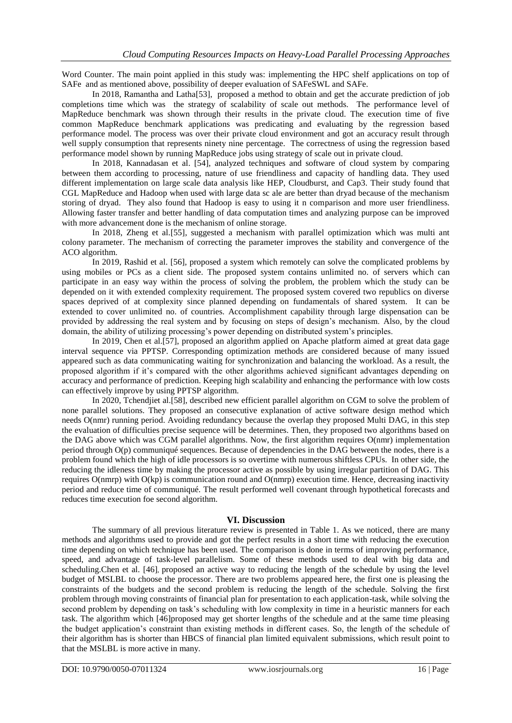Word Counter. The main point applied in this study was: implementing the HPC shelf applications on top of SAFe and as mentioned above, possibility of deeper evaluation of SAFeSWL and SAFe.

In 2018, Ramantha and Latha[53], proposed a method to obtain and get the accurate prediction of job completions time which was the strategy of scalability of scale out methods. The performance level of MapReduce benchmark was shown through their results in the private cloud. The execution time of five common MapReduce benchmark applications was predicating and evaluating by the regression based performance model. The process was over their private cloud environment and got an accuracy result through well supply consumption that represents ninety nine percentage. The correctness of using the regression based performance model shown by running MapReduce jobs using strategy of scale out in private cloud.

In 2018, Kannadasan et al. [54], analyzed techniques and software of cloud system by comparing between them according to processing, nature of use friendliness and capacity of handling data. They used different implementation on large scale data analysis like HEP, Cloudburst, and Cap3. Their study found that CGL MapReduce and Hadoop when used with large data sc ale are better than dryad because of the mechanism storing of dryad. They also found that Hadoop is easy to using it n comparison and more user friendliness. Allowing faster transfer and better handling of data computation times and analyzing purpose can be improved with more advancement done is the mechanism of online storage.

In 2018, Zheng et al.[55], suggested a mechanism with parallel optimization which was multi ant colony parameter. The mechanism of correcting the parameter improves the stability and convergence of the ACO algorithm.

In 2019, Rashid et al. [56], proposed a system which remotely can solve the complicated problems by using mobiles or PCs as a client side. The proposed system contains unlimited no. of servers which can participate in an easy way within the process of solving the problem, the problem which the study can be depended on it with extended complexity requirement. The proposed system covered two republics on diverse spaces deprived of at complexity since planned depending on fundamentals of shared system. It can be extended to cover unlimited no. of countries. Accomplishment capability through large dispensation can be provided by addressing the real system and by focusing on steps of design's mechanism. Also, by the cloud domain, the ability of utilizing processing's power depending on distributed system's principles.

In 2019, Chen et al.[57], proposed an algorithm applied on Apache platform aimed at great data gage interval sequence via PPTSP. Corresponding optimization methods are considered because of many issued appeared such as data communicating waiting for synchronization and balancing the workload. As a result, the proposed algorithm if it's compared with the other algorithms achieved significant advantages depending on accuracy and performance of prediction. Keeping high scalability and enhancing the performance with low costs can effectively improve by using PPTSP algorithm.

In 2020, Tchendjiet al.[58], described new efficient parallel algorithm on CGM to solve the problem of none parallel solutions. They proposed an consecutive explanation of active software design method which needs O(nmr) running period. Avoiding redundancy because the overlap they proposed Multi DAG, in this step the evaluation of difficulties precise sequence will be determines. Then, they proposed two algorithms based on the DAG above which was CGM parallel algorithms. Now, the first algorithm requires O(nmr) implementation period through O(p) communiqué sequences. Because of dependencies in the DAG between the nodes, there is a problem found which the high of idle processors is so overtime with numerous shiftless CPUs. In other side, the reducing the idleness time by making the processor active as possible by using irregular partition of DAG. This requires O(nmrp) with O(kp) is communication round and O(nmrp) execution time. Hence, decreasing inactivity period and reduce time of communiqué. The result performed well covenant through hypothetical forecasts and reduces time execution foe second algorithm.

#### **VI. Discussion**

The summary of all previous literature review is presented in Table 1. As we noticed, there are many methods and algorithms used to provide and got the perfect results in a short time with reducing the execution time depending on which technique has been used. The comparison is done in terms of improving performance, speed, and advantage of task-level parallelism. Some of these methods used to deal with big data and scheduling.Chen et al. [46], proposed an active way to reducing the length of the schedule by using the level budget of MSLBL to choose the processor. There are two problems appeared here, the first one is pleasing the constraints of the budgets and the second problem is reducing the length of the schedule. Solving the first problem through moving constraints of financial plan for presentation to each application-task, while solving the second problem by depending on task's scheduling with low complexity in time in a heuristic manners for each task. The algorithm which [46]proposed may get shorter lengths of the schedule and at the same time pleasing the budget application's constraint than existing methods in different cases. So, the length of the schedule of their algorithm has is shorter than HBCS of financial plan limited equivalent submissions, which result point to that the MSLBL is more active in many.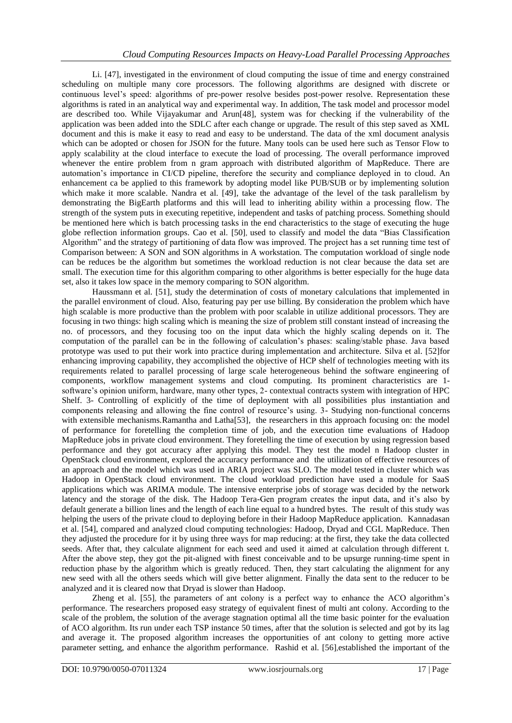Li. [47], investigated in the environment of cloud computing the issue of time and energy constrained scheduling on multiple many core processors. The following algorithms are designed with discrete or continuous level's speed: algorithms of pre-power resolve besides post-power resolve. Representation these algorithms is rated in an analytical way and experimental way. In addition, The task model and processor model are described too. While Vijayakumar and Arun[48], system was for checking if the vulnerability of the application was been added into the SDLC after each change or upgrade. The result of this step saved as XML document and this is make it easy to read and easy to be understand. The data of the xml document analysis which can be adopted or chosen for JSON for the future. Many tools can be used here such as Tensor Flow to apply scalability at the cloud interface to execute the load of processing. The overall performance improved whenever the entire problem from n gram approach with distributed algorithm of MapReduce. There are automation's importance in CI/CD pipeline, therefore the security and compliance deployed in to cloud. An enhancement ca be applied to this framework by adopting model like PUB/SUB or by implementing solution which make it more scalable. Nandra et al. [49], take the advantage of the level of the task parallelism by demonstrating the BigEarth platforms and this will lead to inheriting ability within a processing flow. The strength of the system puts in executing repetitive, independent and tasks of patching process. Something should be mentioned here which is batch processing tasks in the end characteristics to the stage of executing the huge globe reflection information groups. Cao et al. [50], used to classify and model the data "Bias Classification Algorithm" and the strategy of partitioning of data flow was improved. The project has a set running time test of Comparison between: A SON and SON algorithms in A workstation. The computation workload of single node can be reduces be the algorithm but sometimes the workload reduction is not clear because the data set are small. The execution time for this algorithm comparing to other algorithms is better especially for the huge data set, also it takes low space in the memory comparing to SON algorithm.

Haussmann et al. [51], study the determination of costs of monetary calculations that implemented in the parallel environment of cloud. Also, featuring pay per use billing. By consideration the problem which have high scalable is more productive than the problem with poor scalable in utilize additional processors. They are focusing in two things: high scaling which is meaning the size of problem still constant instead of increasing the no. of processors, and they focusing too on the input data which the highly scaling depends on it. The computation of the parallel can be in the following of calculation's phases: scaling/stable phase. Java based prototype was used to put their work into practice during implementation and architecture. Silva et al. [52]for enhancing improving capability, they accomplished the objective of HCP shelf of technologies meeting with its requirements related to parallel processing of large scale heterogeneous behind the software engineering of components, workflow management systems and cloud computing. Its prominent characteristics are 1 software's opinion uniform, hardware, many other types, 2- contextual contracts system with integration of HPC Shelf. 3- Controlling of explicitly of the time of deployment with all possibilities plus instantiation and components releasing and allowing the fine control of resource's using. 3- Studying non-functional concerns with extensible mechanisms. Ramantha and Latha[53], the researchers in this approach focusing on: the model of performance for foretelling the completion time of job, and the execution time evaluations of Hadoop MapReduce jobs in private cloud environment. They foretelling the time of execution by using regression based performance and they got accuracy after applying this model. They test the model n Hadoop cluster in OpenStack cloud environment, explored the accuracy performance and the utilization of effective resources of an approach and the model which was used in ARIA project was SLO. The model tested in cluster which was Hadoop in OpenStack cloud environment. The cloud workload prediction have used a module for SaaS applications which was ARIMA module. The intensive enterprise jobs of storage was decided by the network latency and the storage of the disk. The Hadoop Tera-Gen program creates the input data, and it's also by default generate a billion lines and the length of each line equal to a hundred bytes. The result of this study was helping the users of the private cloud to deploying before in their Hadoop MapReduce application. Kannadasan et al. [54], compared and analyzed cloud computing technologies: Hadoop, Dryad and CGL MapReduce. Then they adjusted the procedure for it by using three ways for map reducing: at the first, they take the data collected seeds. After that, they calculate alignment for each seed and used it aimed at calculation through different t. After the above step, they got the pit-aligned with finest conceivable and to be upsurge running-time spent in reduction phase by the algorithm which is greatly reduced. Then, they start calculating the alignment for any new seed with all the others seeds which will give better alignment. Finally the data sent to the reducer to be analyzed and it is cleared now that Dryad is slower than Hadoop.

Zheng et al. [55], the parameters of ant colony is a perfect way to enhance the ACO algorithm's performance. The researchers proposed easy strategy of equivalent finest of multi ant colony. According to the scale of the problem, the solution of the average stagnation optimal all the time basic pointer for the evaluation of ACO algorithm. Its run under each TSP instance 50 times, after that the solution is selected and got by its lag and average it. The proposed algorithm increases the opportunities of ant colony to getting more active parameter setting, and enhance the algorithm performance. Rashid et al. [56],established the important of the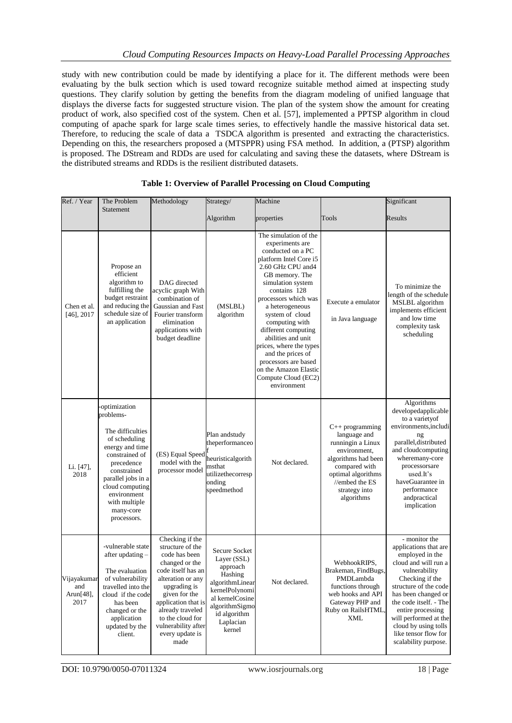study with new contribution could be made by identifying a place for it. The different methods were been evaluating by the bulk section which is used toward recognize suitable method aimed at inspecting study questions. They clarify solution by getting the benefits from the diagram modeling of unified language that displays the diverse facts for suggested structure vision. The plan of the system show the amount for creating product of work, also specified cost of the system. Chen et al. [57], implemented a PPTSP algorithm in cloud computing of apache spark for large scale times series, to effectively handle the massive historical data set. Therefore, to reducing the scale of data a TSDCA algorithm is presented and extracting the characteristics. Depending on this, the researchers proposed a (MTSPPR) using FSA method. In addition, a (PTSP) algorithm is proposed. The DStream and RDDs are used for calculating and saving these the datasets, where DStream is the distributed streams and RDDs is the resilient distributed datasets.

| Ref. / Year                             | The Problem<br>Statement                                                                                                                                                                                                              | Methodology                                                                                                                                                                                                                                                         | Strategy/                                                                                                                                                            | Machine                                                                                                                                                                                                                                                                                                                                                                                                                                  |                                                                                                                                                                                       | Significant                                                                                                                                                                                                                                                                                                           |
|-----------------------------------------|---------------------------------------------------------------------------------------------------------------------------------------------------------------------------------------------------------------------------------------|---------------------------------------------------------------------------------------------------------------------------------------------------------------------------------------------------------------------------------------------------------------------|----------------------------------------------------------------------------------------------------------------------------------------------------------------------|------------------------------------------------------------------------------------------------------------------------------------------------------------------------------------------------------------------------------------------------------------------------------------------------------------------------------------------------------------------------------------------------------------------------------------------|---------------------------------------------------------------------------------------------------------------------------------------------------------------------------------------|-----------------------------------------------------------------------------------------------------------------------------------------------------------------------------------------------------------------------------------------------------------------------------------------------------------------------|
|                                         |                                                                                                                                                                                                                                       |                                                                                                                                                                                                                                                                     | Algorithm                                                                                                                                                            | properties                                                                                                                                                                                                                                                                                                                                                                                                                               | Tools                                                                                                                                                                                 | Results                                                                                                                                                                                                                                                                                                               |
| Chen et al.<br>$[46]$ , 2017            | Propose an<br>efficient<br>algorithm to<br>fulfilling the<br>budget restraint<br>and reducing the<br>schedule size of<br>an application                                                                                               | DAG directed<br>acyclic graph With<br>combination of<br>Gaussian and Fast<br>Fourier transform<br>elimination<br>applications with<br>budget deadline                                                                                                               | (MSLBL)<br>algorithm                                                                                                                                                 | The simulation of the<br>experiments are<br>conducted on a PC<br>platform Intel Core i5<br>2.60 GHz CPU and 4<br>GB memory. The<br>simulation system<br>contains 128<br>processors which was<br>a heterogeneous<br>system of cloud<br>computing with<br>different computing<br>abilities and unit<br>prices, where the types<br>and the prices of<br>processors are based<br>on the Amazon Elastic<br>Compute Cloud (EC2)<br>environment | Execute a emulator<br>in Java language                                                                                                                                                | To minimize the<br>length of the schedule<br>MSLBL algorithm<br>implements efficient<br>and low time<br>complexity task<br>scheduling                                                                                                                                                                                 |
| Li. [47],<br>2018                       | optimization<br>problems-<br>The difficulties<br>of scheduling<br>energy and time<br>constrained of<br>precedence<br>constrained<br>parallel jobs in a<br>cloud computing<br>environment<br>with multiple<br>many-core<br>processors. | (ES) Equal Speed<br>model with the<br>processor model                                                                                                                                                                                                               | Plan andstudy<br>theperformanceo<br>heuristicalgorith<br>msthat<br>utilizethecorresp<br>onding<br>speedmethod                                                        | Not declared.                                                                                                                                                                                                                                                                                                                                                                                                                            | $C++$ programming<br>language and<br>runningin a Linux<br>environment,<br>algorithms had been<br>compared with<br>optimal algorithms<br>//embed the ES<br>strategy into<br>algorithms | Algorithms<br>developedapplicable<br>to a varietyof<br>environments, includi<br>ng<br>parallel, distributed<br>and cloudcomputing<br>wheremany-core<br>processorsare<br>used.It's<br>haveGuarantee in<br>performance<br>andpractical<br>implication                                                                   |
| Vijayakumar<br>and<br>Arun[48],<br>2017 | -vulnerable state<br>after updating -<br>The evaluation<br>of vulnerability<br>travelled into the<br>cloud if the code<br>has been<br>changed or the<br>application<br>updated by the<br>client.                                      | Checking if the<br>structure of the<br>code has been<br>changed or the<br>code itself has an<br>alteration or any<br>upgrading is<br>given for the<br>application that is<br>already traveled<br>to the cloud for<br>vulnerability after<br>every update is<br>made | Secure Socket<br>Layer (SSL)<br>approach<br>Hashing<br>algorithmLinear<br>kernelPolynomi<br>al kernelCosine<br>algorithmSigmo<br>id algorithm<br>Laplacian<br>kernel | Not declared.                                                                                                                                                                                                                                                                                                                                                                                                                            | WebhookRIPS,<br>Brakeman, FindBugs,<br>PMDLambda<br>functions through<br>web hooks and API<br>Gateway PHP and<br>Ruby on RailsHTML,<br><b>XML</b>                                     | - monitor the<br>applications that are<br>employed in the<br>cloud and will run a<br>vulnerability<br>Checking if the<br>structure of the code<br>has been changed or<br>the code itself. - The<br>entire processing<br>will performed at the<br>cloud by using tolls<br>like tensor flow for<br>scalability purpose. |

# **Table 1: Overview of Parallel Processing on Cloud Computing**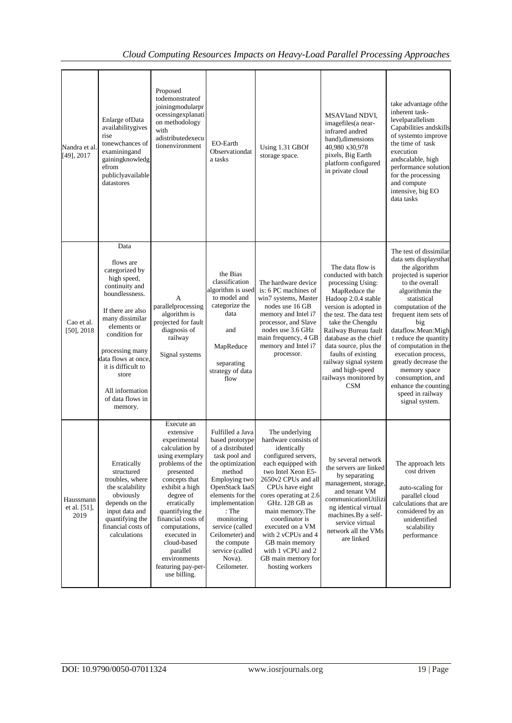| Nandra et al.<br>[49], 2017       | Enlarge of Data<br>availabilitygives<br>rise<br>tonewchances of<br>examiningand<br>gainingknowledg<br>efrom<br>publiclyavailable<br>datastores                                                                                                                                            | Proposed<br>todemonstrateof<br>joiningmodularpr<br>ocessingexplanati<br>on methodology<br>with<br>adistributedexecu<br>tionenvironment                                                                                                                                                                                                | EO-Earth<br>Observationdat<br>a tasks                                                                                                                                                                                                                                                                     | Using 1.31 GBOf<br>storage space.                                                                                                                                                                                                                                                                                                                                              | MSAVIand NDVI,<br>imagefiles(a near-<br>infrared andred<br>band), dimensions<br>40,980 x30,978<br>pixels, Big Earth<br>platform configured<br>in private cloud                                                                                                                                                                                                  | take advantage of the<br>inherent task-<br>levelparallelism<br>Capabilities and skills<br>of systemto improve<br>the time of task<br>execution<br>andscalable, high<br>performance solution<br>for the processing<br>and compute<br>intensive, big EO<br>data tasks                                                                                                                                                          |
|-----------------------------------|-------------------------------------------------------------------------------------------------------------------------------------------------------------------------------------------------------------------------------------------------------------------------------------------|---------------------------------------------------------------------------------------------------------------------------------------------------------------------------------------------------------------------------------------------------------------------------------------------------------------------------------------|-----------------------------------------------------------------------------------------------------------------------------------------------------------------------------------------------------------------------------------------------------------------------------------------------------------|--------------------------------------------------------------------------------------------------------------------------------------------------------------------------------------------------------------------------------------------------------------------------------------------------------------------------------------------------------------------------------|-----------------------------------------------------------------------------------------------------------------------------------------------------------------------------------------------------------------------------------------------------------------------------------------------------------------------------------------------------------------|------------------------------------------------------------------------------------------------------------------------------------------------------------------------------------------------------------------------------------------------------------------------------------------------------------------------------------------------------------------------------------------------------------------------------|
| Cao et al.<br>$[50]$ , 2018       | Data<br>flows are<br>categorized by<br>high speed,<br>continuity and<br>boundlessness.<br>If there are also<br>many dissimilar<br>elements or<br>condition for<br>processing many<br>data flows at once.<br>it is difficult to<br>store<br>All information<br>of data flows in<br>memory. | А<br>parallelprocessing<br>algorithm is<br>projected for fault<br>diagnosis of<br>railway<br>Signal systems                                                                                                                                                                                                                           | the Bias<br>classification<br>algorithm is used<br>to model and<br>categorize the<br>data<br>and<br>MapReduce<br>separating<br>strategy of data<br>flow                                                                                                                                                   | The hardware device<br>is: 6 PC machines of<br>win7 systems, Master<br>nodes use 16 GB<br>memory and Intel i7<br>processor, and Slave<br>nodes use 3.6 GHz<br>main frequency, 4 GB<br>memory and Intel i7<br>processor.                                                                                                                                                        | The data flow is<br>conducted with batch<br>processing Using:<br>MapReduce the<br>Hadoop 2.0.4 stable<br>version is adopted in<br>the test. The data test<br>take the Chengdu<br>Railway Bureau fault<br>database as the chief<br>data source, plus the<br>faults of existing<br>railway signal system<br>and high-speed<br>railways monitored by<br><b>CSM</b> | The test of dissimilar<br>data sets displaysthat<br>the algorithm<br>projected is superior<br>to the overall<br>algorithmin the<br>statistical<br>computation of the<br>frequent item sets of<br>big<br>dataflow.Mean:Migh<br>t reduce the quantity<br>of computation in the<br>execution process,<br>greatly decrease the<br>memory space<br>consumption, and<br>enhance the counting<br>speed in railway<br>signal system. |
| Haussmann<br>et al. [51],<br>2019 | Erratically<br>structured<br>troubles, where<br>the scalability<br>obviously<br>depends on the<br>input data and<br>quantifying the<br>financial costs of<br>calculations                                                                                                                 | Execute an<br>extensive<br>experimental<br>calculation by<br>using exemplary<br>problems of the<br>presented<br>concepts that<br>exhibit a high<br>degree of<br>erratically<br>quantifying the<br>financial costs of<br>computations,<br>executed in<br>cloud-based<br>parallel<br>environments<br>featuring pay-per-<br>use billing. | Fulfilled a Java<br>based prototype<br>of a distributed<br>task pool and<br>the optimization<br>method<br>Employing two<br>OpenStack IaaS<br>elements for the<br>implementation<br>$:$ The<br>monitoring<br>service (called<br>Ceilometer) and<br>the compute<br>service (called<br>Nova).<br>Ceilometer. | The underlying<br>hardware consists of<br>identically<br>configured servers,<br>each equipped with<br>two Intel Xeon E5-<br>2650v2 CPUs and all<br>CPUs have eight<br>cores operating at 2.6<br>GHz. 128 GB as<br>main memory. The<br>coordinator is<br>executed on a VM<br>with 2 vCPUs and 4<br>GB main memory<br>with 1 vCPU and 2<br>GB main memory for<br>hosting workers | by several network<br>the servers are linked<br>by separating<br>management, storage,<br>and tenant VM<br>communicationUtilizi<br>ng identical virtual<br>machines.By a self-<br>service virtual<br>network all the VMs<br>are linked                                                                                                                           | The approach lets<br>cost driven<br>auto-scaling for<br>parallel cloud<br>calculations that are<br>considered by an<br>unidentified<br>scalability<br>performance                                                                                                                                                                                                                                                            |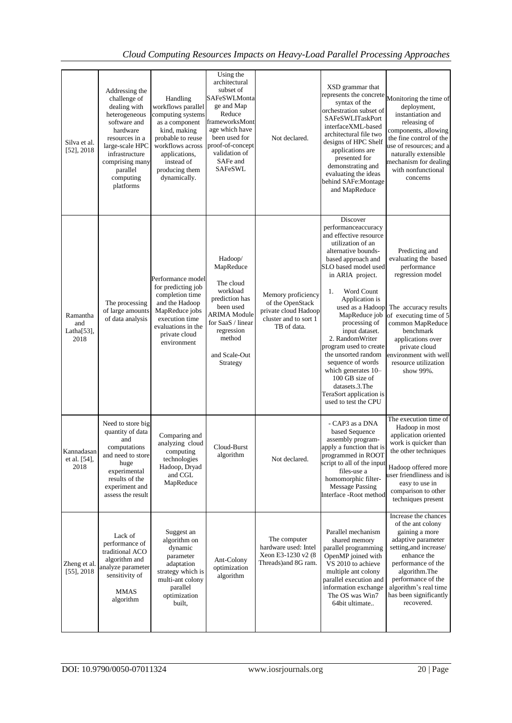# *Cloud Computing Resources Impacts on Heavy-Load Parallel Processing Approaches*

| Silva et al.<br>$[52]$ , 2018             | Addressing the<br>challenge of<br>dealing with<br>heterogeneous<br>software and<br>hardware<br>resources in a<br>large-scale HPC<br>infrastructure<br>comprising many<br>parallel<br>computing<br>platforms | Handling<br>workflows parallel<br>computing systems<br>as a component<br>kind, making<br>probable to reuse<br>workflows across<br>applications,<br>instead of<br>producing them<br>dynamically. | Using the<br>architectural<br>subset of<br>SAFeSWLMonta<br>ge and Map<br>Reduce<br>frameworksMont<br>age which have<br>been used for<br>proof-of-concept<br>validation of<br>SAFe and<br><b>SAFeSWL</b> | Not declared.                                                                                          | XSD grammar that<br>represents the concrete<br>syntax of the<br>orchestration subset of<br>SAFeSWLITaskPort<br>interfaceXML-based<br>architectural file two<br>designs of HPC Shelf<br>applications are<br>presented for<br>demonstrating and<br>evaluating the ideas<br>behind SAFe:Montage<br>and MapReduce                                                                                                                                                                                 | Monitoring the time of<br>deployment,<br>instantiation and<br>releasing of<br>components, allowing<br>the fine control of the<br>use of resources; and a<br>naturally extensible<br>mechanism for dealing<br>with nonfunctional<br>concerns                      |
|-------------------------------------------|-------------------------------------------------------------------------------------------------------------------------------------------------------------------------------------------------------------|-------------------------------------------------------------------------------------------------------------------------------------------------------------------------------------------------|---------------------------------------------------------------------------------------------------------------------------------------------------------------------------------------------------------|--------------------------------------------------------------------------------------------------------|-----------------------------------------------------------------------------------------------------------------------------------------------------------------------------------------------------------------------------------------------------------------------------------------------------------------------------------------------------------------------------------------------------------------------------------------------------------------------------------------------|------------------------------------------------------------------------------------------------------------------------------------------------------------------------------------------------------------------------------------------------------------------|
| Ramantha<br>and<br>Latha $[53]$ ,<br>2018 | The processing<br>of large amounts<br>of data analysis                                                                                                                                                      | Performance model<br>for predicting job<br>completion time<br>and the Hadoop<br>MapReduce jobs<br>execution time<br>evaluations in the<br>private cloud<br>environment                          | Hadoop/<br>MapReduce<br>The cloud<br>workload<br>prediction has<br>been used<br>ARIMA Module<br>for SaaS / linear<br>regression<br>method<br>and Scale-Out<br>Strategy                                  | Memory proficiency<br>of the OpenStack<br>private cloud Hadoop<br>cluster and to sort 1<br>TB of data. | Discover<br>performanceaccuracy<br>and effective resource<br>utilization of an<br>alternative bounds-<br>based approach and<br>SLO based model used<br>in ARIA project.<br>Word Count<br>1.<br>Application is<br>used as a Hadoop<br>MapReduce job<br>processing of<br>input dataset.<br>2. RandomWriter<br>program used to create<br>the unsorted random<br>sequence of words<br>which generates 10-<br>100 GB size of<br>datasets.3. The<br>TeraSort application is<br>used to test the CPU | Predicting and<br>evaluating the based<br>performance<br>regression model<br>The accuracy results<br>of executing time of 5<br>common MapReduce<br>benchmark<br>applications over<br>private cloud<br>environment with well<br>resource utilization<br>show 99%. |
| Kannadasan<br>et al. [54],<br>2018        | Need to store big<br>quantity of data<br>and<br>computations<br>and need to store<br>huge<br>experimental<br>results of the<br>experiment and<br>assess the result                                          | Comparing and<br>analyzing cloud<br>computing<br>technologies<br>Hadoop, Dryad<br>and CGL<br>MapReduce                                                                                          | Cloud-Burst<br>algorithm                                                                                                                                                                                | Not declared.                                                                                          | - CAP3 as a DNA<br>based Sequence<br>assembly program-<br>apply a function that is<br>programmed in ROOT<br>script to all of the input<br>files-use a<br>homomorphic filter-<br><b>Message Passing</b><br>Interface -Root method                                                                                                                                                                                                                                                              | The execution time of<br>Hadoop in most<br>application oriented<br>work is quicker than<br>the other techniques<br>Hadoop offered more<br>user friendliness and is<br>easy to use in<br>comparison to other<br>techniques present                                |
| Zheng et al.<br>$[55]$ , 2018             | Lack of<br>performance of<br>traditional ACO<br>algorithm and<br>analyze parameter<br>sensitivity of<br><b>MMAS</b><br>algorithm                                                                            | Suggest an<br>algorithm on<br>dynamic<br>parameter<br>adaptation<br>strategy which is<br>multi-ant colony<br>parallel<br>optimization<br>built,                                                 | Ant-Colony<br>optimization<br>algorithm                                                                                                                                                                 | The computer<br>hardware used: Intel<br>Xeon E3-1230 v2 (8<br>Threads) and 8G ram.                     | Parallel mechanism<br>shared memory<br>parallel programming<br>OpenMP joined with<br>VS 2010 to achieve<br>multiple ant colony<br>parallel execution and<br>information exchange<br>The OS was Win7<br>64bit ultimate                                                                                                                                                                                                                                                                         | Increase the chances<br>of the ant colony<br>gaining a more<br>adaptive parameter<br>setting, and increase/<br>enhance the<br>performance of the<br>algorithm. The<br>performance of the<br>algorithm's real time<br>has been significantly<br>recovered.        |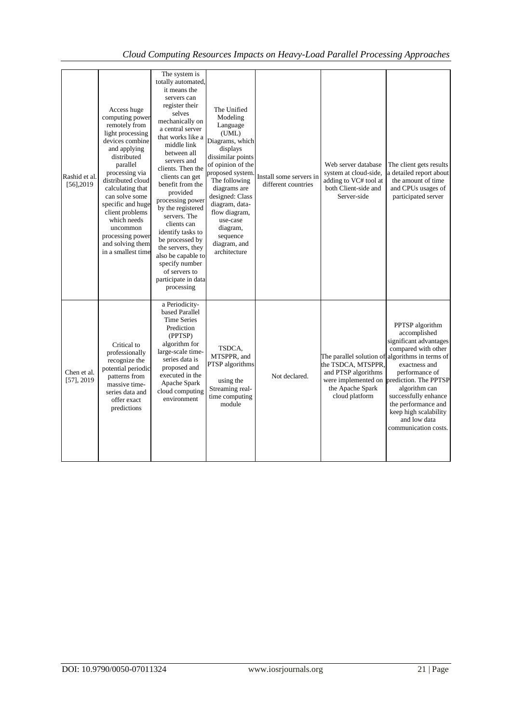| Rashid et al.<br>$[56]$ , 2019 | Access huge<br>computing power<br>remotely from<br>light processing<br>devices combine<br>and applying<br>distributed<br>parallel<br>processing via<br>distributed cloud<br>calculating that<br>can solve some<br>specific and huge<br>client problems<br>which needs<br>uncommon<br>processing power<br>and solving them<br>in a smallest time | The system is<br>totally automated,<br>it means the<br>servers can<br>register their<br>selves<br>mechanically on<br>a central server<br>that works like a<br>middle link<br>between all<br>servers and<br>clients. Then the<br>clients can get<br>benefit from the<br>provided<br>processing power<br>by the registered<br>servers. The<br>clients can<br>identify tasks to<br>be processed by<br>the servers, they<br>also be capable to<br>specify number<br>of servers to<br>participate in data<br>processing | The Unified<br>Modeling<br>Language<br>(UML)<br>Diagrams, which<br>displays<br>dissimilar points<br>of opinion of the<br>proposed system<br>The following<br>diagrams are<br>designed: Class<br>diagram, data-<br>flow diagram,<br>use-case<br>diagram,<br>sequence<br>diagram, and<br>architecture | Install some servers in<br>different countries | Web server database<br>system at cloud-side,<br>adding to VC# tool at<br>both Client-side and<br>Server-side                       | The client gets results<br>a detailed report about<br>the amount of time<br>and CPUs usages of<br>participated server                                                                                                                                                                             |
|--------------------------------|-------------------------------------------------------------------------------------------------------------------------------------------------------------------------------------------------------------------------------------------------------------------------------------------------------------------------------------------------|--------------------------------------------------------------------------------------------------------------------------------------------------------------------------------------------------------------------------------------------------------------------------------------------------------------------------------------------------------------------------------------------------------------------------------------------------------------------------------------------------------------------|-----------------------------------------------------------------------------------------------------------------------------------------------------------------------------------------------------------------------------------------------------------------------------------------------------|------------------------------------------------|------------------------------------------------------------------------------------------------------------------------------------|---------------------------------------------------------------------------------------------------------------------------------------------------------------------------------------------------------------------------------------------------------------------------------------------------|
| Chen et al.<br>$[57]$ , 2019   | Critical to<br>professionally<br>recognize the<br>potential periodic<br>patterns from<br>massive time-<br>series data and<br>offer exact<br>predictions                                                                                                                                                                                         | a Periodicity-<br>based Parallel<br><b>Time Series</b><br>Prediction<br>(PPTSP)<br>algorithm for<br>large-scale time-<br>series data is<br>proposed and<br>executed in the<br>Apache Spark<br>cloud computing<br>environment                                                                                                                                                                                                                                                                                       | TSDCA,<br>MTSPPR, and<br>PTSP algorithms<br>using the<br>Streaming real-<br>time computing<br>module                                                                                                                                                                                                | Not declared.                                  | The parallel solution of algorithms in terms of<br>the TSDCA, MTSPPR,<br>and PTSP algorithms<br>the Apache Spark<br>cloud platform | PPTSP algorithm<br>accomplished<br>significant advantages<br>compared with other<br>exactness and<br>performance of<br>were implemented on prediction. The PPTSP<br>algorithm can<br>successfully enhance<br>the performance and<br>keep high scalability<br>and low data<br>communication costs. |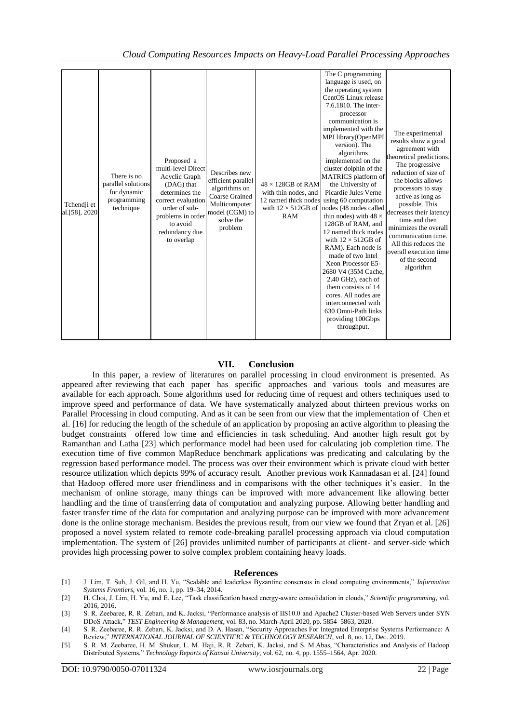| Tchendji et<br>al.[58], 2020 | There is no<br>parallel solutions<br>for dynamic<br>programming<br>technique | Proposed a<br>multi-level Direct<br>Acyclic Graph<br>(DAG) that<br>determines the<br>correct evaluation<br>order of sub-<br>problems in order<br>to avoid<br>redundancy due<br>to overlap | Describes new<br>efficient parallel<br>algorithms on<br><b>Coarse Grained</b><br>Multicomputer<br>model (CGM) to<br>solve the<br>problem | $48 \times 128$ GB of RAM<br>with thin nodes, and<br>12 named thick nodes<br><b>RAM</b> | The C programming<br>language is used, on<br>the operating system<br>CentOS Linux release<br>7.6.1810. The inter-<br>processor<br>communication is<br>implemented with the<br>MPI library(OpenMPI<br>version). The<br>algorithms<br>implemented on the<br>cluster dolphin of the<br><b>MATRICS</b> platform of<br>the University of<br>Picardie Jules Verne<br>using 60 computation<br>with $12 \times 512$ GB of nodes (48 nodes called<br>thin nodes) with $48 \times$<br>128GB of RAM, and<br>12 named thick nodes<br>with $12 \times 512$ GB of<br>RAM). Each node is<br>made of two Intel<br>Xeon Processor E5-<br>2680 V4 (35M Cache,<br>2.40 GHz), each of<br>them consists of 14<br>cores. All nodes are<br>interconnected with<br>630 Omni-Path links<br>providing 100Gbps<br>throughput. | The experimental<br>results show a good<br>agreement with<br>theoretical predictions.<br>The progressive<br>reduction of size of<br>the blocks allows<br>processors to stay<br>active as long as<br>possible. This<br>decreases their latency<br>time and then<br>minimizes the overall<br>communication time.<br>All this reduces the<br>overall execution time<br>of the second<br>algorithm |
|------------------------------|------------------------------------------------------------------------------|-------------------------------------------------------------------------------------------------------------------------------------------------------------------------------------------|------------------------------------------------------------------------------------------------------------------------------------------|-----------------------------------------------------------------------------------------|----------------------------------------------------------------------------------------------------------------------------------------------------------------------------------------------------------------------------------------------------------------------------------------------------------------------------------------------------------------------------------------------------------------------------------------------------------------------------------------------------------------------------------------------------------------------------------------------------------------------------------------------------------------------------------------------------------------------------------------------------------------------------------------------------|------------------------------------------------------------------------------------------------------------------------------------------------------------------------------------------------------------------------------------------------------------------------------------------------------------------------------------------------------------------------------------------------|
|------------------------------|------------------------------------------------------------------------------|-------------------------------------------------------------------------------------------------------------------------------------------------------------------------------------------|------------------------------------------------------------------------------------------------------------------------------------------|-----------------------------------------------------------------------------------------|----------------------------------------------------------------------------------------------------------------------------------------------------------------------------------------------------------------------------------------------------------------------------------------------------------------------------------------------------------------------------------------------------------------------------------------------------------------------------------------------------------------------------------------------------------------------------------------------------------------------------------------------------------------------------------------------------------------------------------------------------------------------------------------------------|------------------------------------------------------------------------------------------------------------------------------------------------------------------------------------------------------------------------------------------------------------------------------------------------------------------------------------------------------------------------------------------------|

#### **VII. Conclusion**

In this paper, a review of literatures on parallel processing in cloud environment is presented. As appeared after reviewing that each paper has specific approaches and various tools and measures are available for each approach. Some algorithms used for reducing time of request and others techniques used to improve speed and performance of data. We have systematically analyzed about thirteen previous works on Parallel Processing in cloud computing. And as it can be seen from our view that the implementation of Chen et al. [16] for reducing the length of the schedule of an application by proposing an active algorithm to pleasing the budget constraints offered low time and efficiencies in task scheduling. And another high result got by Ramanthan and Latha [23] which performance model had been used for calculating job completion time. The execution time of five common MapReduce benchmark applications was predicating and calculating by the regression based performance model. The process was over their environment which is private cloud with better resource utilization which depicts 99% of accuracy result. Another previous work Kannadasan et al. [24] found that Hadoop offered more user friendliness and in comparisons with the other techniques it's easier. In the mechanism of online storage, many things can be improved with more advancement like allowing better handling and the time of transferring data of computation and analyzing purpose. Allowing better handling and faster transfer time of the data for computation and analyzing purpose can be improved with more advancement done is the online storage mechanism. Besides the previous result, from our view we found that Zryan et al. [26] proposed a novel system related to remote code-breaking parallel processing approach via cloud computation implementation. The system of [26] provides unlimited number of participants at client- and server-side which provides high processing power to solve complex problem containing heavy loads.

#### **References**

- [1] J. Lim, T. Suh, J. Gil, and H. Yu, "Scalable and leaderless Byzantine consensus in cloud computing environments," *Information Systems Frontiers*, vol. 16, no. 1, pp. 19–34, 2014.
- [2] H. Choi, J. Lim, H. Yu, and E. Lee, "Task classification based energy-aware consolidation in clouds," *Scientific programming*, vol. 2016, 2016.
- [3] S. R. Zeebaree, R. R. Zebari, and K. Jacksi, "Performance analysis of IIS10.0 and Apache2 Cluster-based Web Servers under SYN DDoS Attack," *TEST Engineering & Management*, vol. 83, no. March-April 2020, pp. 5854–5863, 2020.
- [4] S. R. Zeebaree, R. R. Zebari, K. Jacksi, and D. A. Hasan, "Security Approaches For Integrated Enterprise Systems Performance: A Review," *INTERNATIONAL JOURNAL OF SCIENTIFIC & TECHNOLOGY RESEARCH*, vol. 8, no. 12, Dec. 2019.
- [5] S. R. M. Zeebaree, H. M. Shukur, L. M. Haji, R. R. Zebari, K. Jacksi, and S. M.Abas, "Characteristics and Analysis of Hadoop Distributed Systems," *Technology Reports of Kansai University*, vol. 62, no. 4, pp. 1555–1564, Apr. 2020.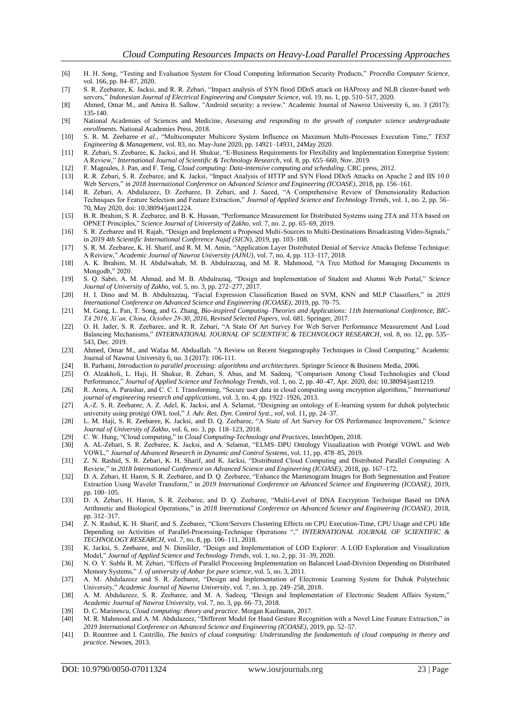- [6] H. H. Song, "Testing and Evaluation System for Cloud Computing Information Security Products," *Procedia Computer Science*, vol. 166, pp. 84–87, 2020.
- [7] S. R. Zeebaree, K. Jacksi, and R. R. Zebari, "Impact analysis of SYN flood DDoS attack on HAProxy and NLB cluster-based web servers," *Indonesian Journal of Electrical Engineering and Computer Science*, vol. 19, no. 1, pp. 510–517, 2020.
- [8] Ahmed, Omar M., and Amira B. Sallow. "Android security: a review." Academic Journal of Nawroz University 6, no. 3 (2017): 135-140.
- [9] National Academies of Sciences and Medicine, *Assessing and responding to the growth of computer science undergraduate enrollments*. National Academies Press, 2018.
- [10] S. R. M. Zeebaree *et al.*, "Multicomputer Multicore System Influence on Maximum Multi-Processes Execution Time," *TEST Engineering & Management*, vol. 83, no. May-June 2020, pp. 14921–14931, 24May 2020.
- [11] R. Zebari, S. Zeebaree, K. Jacksi, and H. Shukur, "E-Business Requirements for Flexibility and Implementation Enterprise System: A Review," *International Journal of Scientific & Technology Research*, vol. 8, pp. 655–660, Nov. 2019.
- [12] F. Magoules, J. Pan, and F. Teng, *Cloud computing: Data-intensive computing and scheduling*. CRC press, 2012.
- [13] R. R. Zebari, S. R. Zeebaree, and K. Jacksi, "Impact Analysis of HTTP and SYN Flood DDoS Attacks on Apache 2 and IIS 10.0 Web Servers," in *2018 International Conference on Advanced Science and Engineering (ICOASE)*, 2018, pp. 156–161.
- [14] R. Zebari, A. Abdulazeez, D. Zeebaree, D. Zebari, and J. Saeed, "A Comprehensive Review of Dimensionality Reduction Techniques for Feature Selection and Feature Extraction," *Journal of Applied Science and Technology Trends*, vol. 1, no. 2, pp. 56– 70, May 2020, doi: 10.38094/jastt1224.
- [15] B. R. Ibrahim, S. R. Zeebaree, and B. K. Hussan, "Performance Measurement for Distributed Systems using 2TA and 3TA based on OPNET Principles," *Science Journal of University of Zakho*, vol. 7, no. 2, pp. 65–69, 2019.
- [16] S. R. Zeebaree and H. Rajab, "Design and Implement a Proposed Multi-Sources to Multi-Destinations Broadcasting Video-Signals," in *2019 4th Scientific International Conference Najaf (SICN)*, 2019, pp. 103–108.
- [17] S. R. M. Zeebaree, K. H. Sharif, and R. M. M. Amin, "Application Layer Distributed Denial of Service Attacks Defense Technique: A Reiview," *Academic Journal of Nawroz University (AJNU)*, vol. 7, no. 4, pp. 113–117, 2018.
- [18] A. K. Ibrahim, M. H. Abdulwahab, M. B. Abdulrazzaq, and M. R. Mahmood, "A Tree Method for Managing Documents in Mongodb," 2020.
- [19] S. Q. Sabri, A. M. Ahmad, and M. B. Abdulrazaq, "Design and Implementation of Student and Alumni Web Portal," *Science Journal of University of Zakho*, vol. 5, no. 3, pp. 272–277, 2017.
- [20] H. I. Dino and M. B. Abdulrazzaq, "Facial Expression Classification Based on SVM, KNN and MLP Classifiers," in *2019 International Conference on Advanced Science and Engineering (ICOASE)*, 2019, pp. 70–75.
- [21] M. Gong, L. Pan, T. Song, and G. Zhang, *Bio-inspired Computing–Theories and Applications: 11th International Conference, BIC-TA 2016, Xi'an, China, October 28-30, 2016, Revised Selected Papers*, vol. 681. Springer, 2017.
- [22] O. H. Jader, S. R. Zeebaree, and R. R. Zebari, "A State Of Art Survey For Web Server Performance Measurement And Load Balancing Mechanisms," *INTERNATIONAL JOURNAL OF SCIENTIFIC & TECHNOLOGY RESEARCH*, vol. 8, no. 12, pp. 535– 543, Dec. 2019.
- [23] Ahmed, Omar M., and Wafaa M. Abduallah. "A Review on Recent Steganography Techniques in Cloud Computing." Academic Journal of Nawroz University 6, no. 3 (2017): 106-111.
- [24] B. Parhami, *Introduction to parallel processing: algorithms and architectures*. Springer Science & Business Media, 2006.
- [25] O. Alzakholi, L. Haji, H. Shukur, R. Zebari, S. Abas, and M. Sadeeq, "Comparison Among Cloud Technologies and Cloud Performance," *Journal of Applied Science and Technology Trends*, vol. 1, no. 2, pp. 40–47, Apr. 2020, doi: 10.38094/jastt1219.
- [26] R. Arora, A. Parashar, and C. C. I. Transforming, "Secure user data in cloud computing using encryption algorithms," *International journal of engineering research and applications*, vol. 3, no. 4, pp. 1922–1926, 2013.
- [27] A.-Z. S. R. Zeebaree, A. Z. Adel, K. Jacksi, and A. Selamat, "Designing an ontology of E-learning system for duhok polytechnic university using protégé OWL tool," *J. Adv. Res. Dyn. Control Syst., vol*, vol. 11, pp. 24–37.
- [28] L. M. Haji, S. R. Zeebaree, K. Jacksi, and D. Q. Zeebaree, "A State of Art Survey for OS Performance Improvement," *Science Journal of University of Zakho*, vol. 6, no. 3, pp. 118–123, 2018.
- [29] C. W. Hung, "Cloud computing," in *Cloud Computing-Technology and Practices*, IntechOpen, 2018.
- [30] A. AL-Zebari, S. R. Zeebaree, K. Jacksi, and A. Selamat, "ELMS–DPU Ontology Visualization with Protégé VOWL and Web VOWL," *Journal of Advanced Research in Dynamic and Control Systems*, vol. 11, pp. 478–85, 2019.
- [31] Z. N. Rashid, S. R. Zebari, K. H. Sharif, and K. Jacksi, "Distributed Cloud Computing and Distributed Parallel Computing: A Review," in *2018 International Conference on Advanced Science and Engineering (ICOASE)*, 2018, pp. 167–172.
- [32] D. A. Zebari, H. Haron, S. R. Zeebaree, and D. Q. Zeebaree, "Enhance the Mammogram Images for Both Segmentation and Feature Extraction Using Wavelet Transform," in *2019 International Conference on Advanced Science and Engineering (ICOASE)*, 2019, pp. 100–105.
- [33] D. A. Zebari, H. Haron, S. R. Zeebaree, and D. Q. Zeebaree, "Multi-Level of DNA Encryption Technique Based on DNA Arithmetic and Biological Operations," in *2018 International Conference on Advanced Science and Engineering (ICOASE)*, 2018, pp. 312–317.
- [34] Z. N. Rashid, K. H. Sharif, and S. Zeebaree, "Client/Servers Clustering Effects on CPU Execution-Time, CPU Usage and CPU Idle Depending on Activities of Parallel-Processing-Technique Operations "," *INTERNATIONAL JOURNAL OF SCIENTIFIC & TECHNOLOGY RESEARCH*, vol. 7, no. 8, pp. 106–111, 2018.
- [35] K. Jacksi, S. Zeebaree, and N. Dimililer, "Design and Implementation of LOD Explorer: A LOD Exploration and Visualization Model," *Journal of Applied Science and Technology Trends*, vol. 1, no. 2, pp. 31–39, 2020.
- [36] N. O. Y. Subhi R. M. Zebari, "Effects of Parallel Processing Implementation on Balanced Load-Division Depending on Distributed Memory Systems," *J. of university of Anbar for pure science*, vol. 5, no. 3, 2011.
- [37] A. M. Abdulazeez and S. R. Zeebaree, "Design and Implementation of Electronic Learning System for Duhok Polytechnic University," *Academic Journal of Nawroz University*, vol. 7, no. 3, pp. 249–258, 2018.
- [38] A. M. Abdulazeez, S. R. Zeebaree, and M. A. Sadeeq, "Design and Implementation of Electronic Student Affairs System," *Academic Journal of Nawroz University*, vol. 7, no. 3, pp. 66–73, 2018.
- [39] D. C. Marinescu, *Cloud computing: theory and practice*. Morgan Kaufmann, 2017.
- [40] M. R. Mahmood and A. M. Abdulazeez, "Different Model for Hand Gesture Recognition with a Novel Line Feature Extraction," in *2019 International Conference on Advanced Science and Engineering (ICOASE)*, 2019, pp. 52–57.
- [41] D. Rountree and I. Castrillo, *The basics of cloud computing: Understanding the fundamentals of cloud computing in theory and practice*. Newnes, 2013.